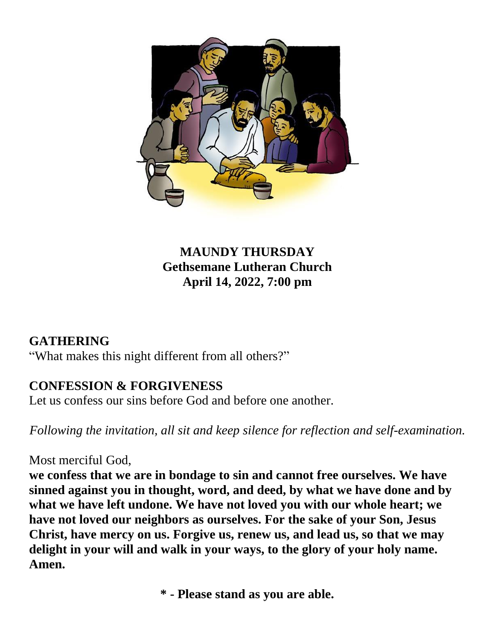

### **MAUNDY THURSDAY Gethsemane Lutheran Church April 14, 2022, 7:00 pm**

### **GATHERING**

"What makes this night different from all others?"

## **CONFESSION & FORGIVENESS**

Let us confess our sins before God and before one another.

*Following the invitation, all sit and keep silence for reflection and self-examination.*

### Most merciful God,

**we confess that we are in bondage to sin and cannot free ourselves. We have sinned against you in thought, word, and deed, by what we have done and by what we have left undone. We have not loved you with our whole heart; we have not loved our neighbors as ourselves. For the sake of your Son, Jesus Christ, have mercy on us. Forgive us, renew us, and lead us, so that we may delight in your will and walk in your ways, to the glory of your holy name. Amen.**

**\* - Please stand as you are able.**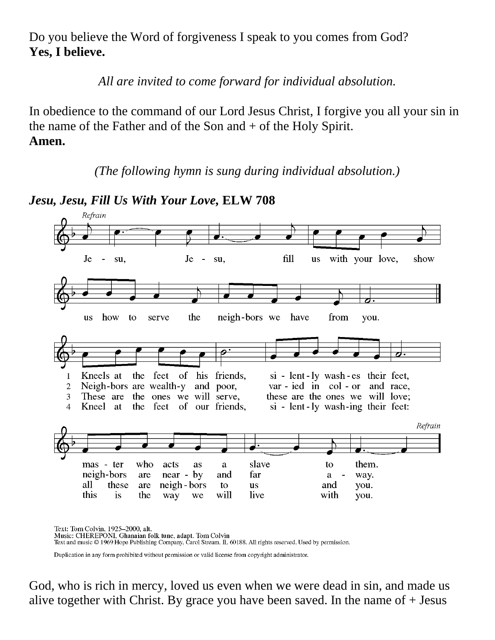Do you believe the Word of forgiveness I speak to you comes from God? **Yes, I believe.**

*All are invited to come forward for individual absolution.*

In obedience to the command of our Lord Jesus Christ, I forgive you all your sin in the name of the Father and of the Son and + of the Holy Spirit. **Amen.**

*(The following hymn is sung during individual absolution.)*

*Jesu, Jesu, Fill Us With Your Love,* **ELW 708**



Text: Tom Colvin, 1925-2000, alt. Music: CHEREPONI, Ghanaian folk tune, adapt. Tom Colvin Text and music © 1969 Hope Publishing Company, Carol Stream, IL 60188. All rights reserved. Used by permission.

Duplication in any form prohibited without permission or valid license from copyright administrator.

God, who is rich in mercy, loved us even when we were dead in sin, and made us alive together with Christ. By grace you have been saved. In the name of  $+$  Jesus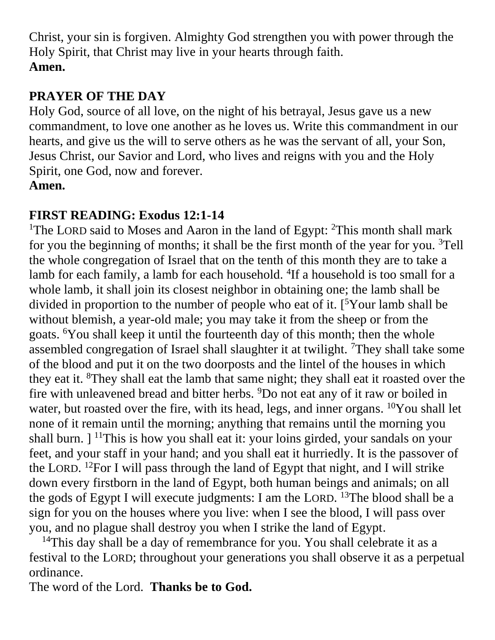Christ, your sin is forgiven. Almighty God strengthen you with power through the Holy Spirit, that Christ may live in your hearts through faith. **Amen.**

# **PRAYER OF THE DAY**

Holy God, source of all love, on the night of his betrayal, Jesus gave us a new commandment, to love one another as he loves us. Write this commandment in our hearts, and give us the will to serve others as he was the servant of all, your Son, Jesus Christ, our Savior and Lord, who lives and reigns with you and the Holy Spirit, one God, now and forever. **Amen.**

## **FIRST READING: Exodus 12:1-14**

<sup>1</sup>The LORD said to Moses and Aaron in the land of Egypt: <sup>2</sup>This month shall mark for you the beginning of months; it shall be the first month of the year for you.  ${}^{3}$ Tell the whole congregation of Israel that on the tenth of this month they are to take a lamb for each family, a lamb for each household. <sup>4</sup>If a household is too small for a whole lamb, it shall join its closest neighbor in obtaining one; the lamb shall be divided in proportion to the number of people who eat of it. [ <sup>5</sup>Your lamb shall be without blemish, a year-old male; you may take it from the sheep or from the goats. <sup>6</sup>You shall keep it until the fourteenth day of this month; then the whole assembled congregation of Israel shall slaughter it at twilight. <sup>7</sup>They shall take some of the blood and put it on the two doorposts and the lintel of the houses in which they eat it. <sup>8</sup>They shall eat the lamb that same night; they shall eat it roasted over the fire with unleavened bread and bitter herbs. <sup>9</sup>Do not eat any of it raw or boiled in water, but roasted over the fire, with its head, legs, and inner organs. <sup>10</sup>You shall let none of it remain until the morning; anything that remains until the morning you shall burn.  $\vert$  <sup>11</sup>This is how you shall eat it: your loins girded, your sandals on your feet, and your staff in your hand; and you shall eat it hurriedly. It is the passover of the LORD. <sup>12</sup> For I will pass through the land of Egypt that night, and I will strike down every firstborn in the land of Egypt, both human beings and animals; on all the gods of Egypt I will execute judgments: I am the LORD. <sup>13</sup>The blood shall be a sign for you on the houses where you live: when I see the blood, I will pass over you, and no plague shall destroy you when I strike the land of Egypt.

<sup>14</sup>This day shall be a day of remembrance for you. You shall celebrate it as a festival to the LORD; throughout your generations you shall observe it as a perpetual ordinance.

The word of the Lord. **Thanks be to God.**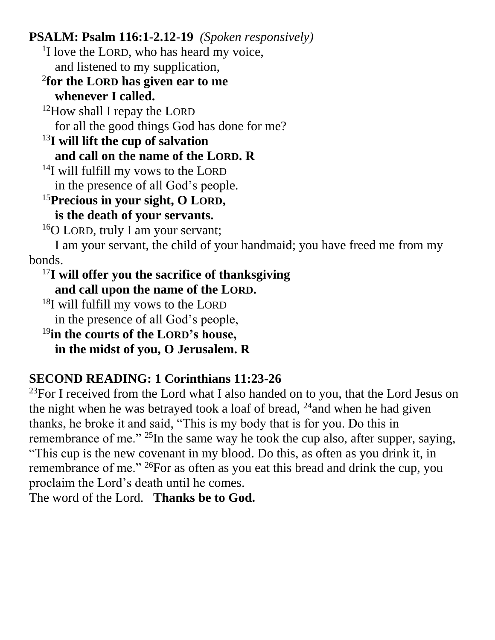**PSALM: Psalm 116:1-2.12-19** *(Spoken responsively)*

<sup>1</sup>I love the LORD, who has heard my voice,

and listened to my supplication,

### 2 **for the LORD has given ear to me whenever I called.**

<sup>12</sup>How shall I repay the LORD for all the good things God has done for me?

#### <sup>13</sup>**I will lift the cup of salvation and call on the name of the LORD. R**

<sup>14</sup>I will fulfill my vows to the LORD

in the presence of all God's people.

# <sup>15</sup>**Precious in your sight, O LORD,**

# **is the death of your servants.**

<sup>16</sup>O LORD, truly I am your servant;

I am your servant, the child of your handmaid; you have freed me from my bonds.

### <sup>17</sup>**I will offer you the sacrifice of thanksgiving and call upon the name of the LORD.**

<sup>18</sup>I will fulfill my vows to the LORD

in the presence of all God's people,

# <sup>19</sup>**in the courts of the LORD's house,**

**in the midst of you, O Jerusalem. R**

# **SECOND READING: 1 Corinthians 11:23-26**

 $^{23}$ For I received from the Lord what I also handed on to you, that the Lord Jesus on the night when he was betrayed took a loaf of bread,  $^{24}$  and when he had given thanks, he broke it and said, "This is my body that is for you. Do this in remembrance of me."  $^{25}$ In the same way he took the cup also, after supper, saying, "This cup is the new covenant in my blood. Do this, as often as you drink it, in remembrance of me." <sup>26</sup>For as often as you eat this bread and drink the cup, you proclaim the Lord's death until he comes.

The word of the Lord. **Thanks be to God.**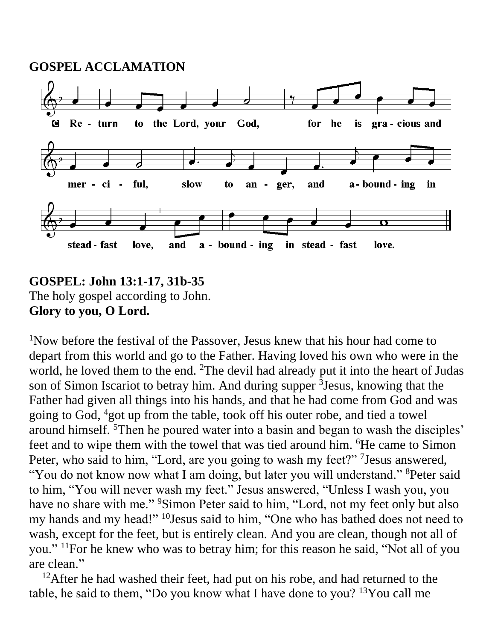**GOSPEL ACCLAMATION**



### **GOSPEL: John 13:1-17, 31b-35** The holy gospel according to John. **Glory to you, O Lord.**

<sup>1</sup>Now before the festival of the Passover, Jesus knew that his hour had come to depart from this world and go to the Father. Having loved his own who were in the world, he loved them to the end. <sup>2</sup>The devil had already put it into the heart of Judas son of Simon Iscariot to betray him. And during supper <sup>3</sup> Jesus, knowing that the Father had given all things into his hands, and that he had come from God and was going to God, <sup>4</sup>got up from the table, took off his outer robe, and tied a towel around himself. <sup>5</sup>Then he poured water into a basin and began to wash the disciples' feet and to wipe them with the towel that was tied around him. <sup>6</sup>He came to Simon Peter, who said to him, "Lord, are you going to wash my feet?" <sup>7</sup> Jesus answered, "You do not know now what I am doing, but later you will understand." <sup>8</sup>Peter said to him, "You will never wash my feet." Jesus answered, "Unless I wash you, you have no share with me." <sup>9</sup>Simon Peter said to him, "Lord, not my feet only but also my hands and my head!" <sup>10</sup>Jesus said to him, "One who has bathed does not need to wash, except for the feet, but is entirely clean. And you are clean, though not all of you." <sup>11</sup>For he knew who was to betray him; for this reason he said, "Not all of you are clean."

 $12$ After he had washed their feet, had put on his robe, and had returned to the table, he said to them, "Do you know what I have done to you?  $13$ You call me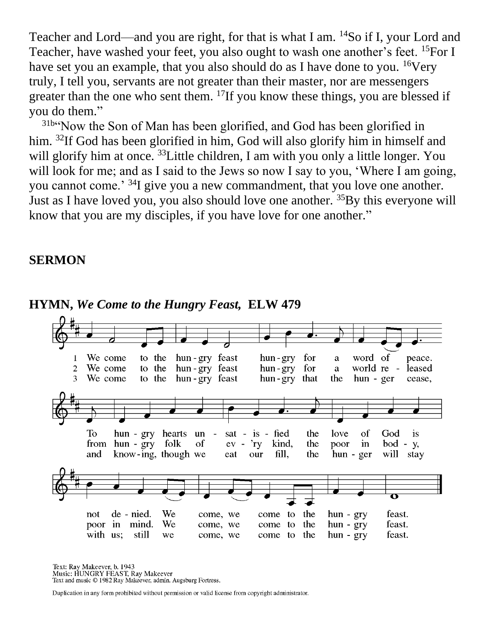Teacher and Lord—and you are right, for that is what I am. <sup>14</sup>So if I, your Lord and Teacher, have washed your feet, you also ought to wash one another's feet. <sup>15</sup>For I have set you an example, that you also should do as I have done to you. <sup>16</sup>Very truly, I tell you, servants are not greater than their master, nor are messengers greater than the one who sent them. <sup>17</sup>If you know these things, you are blessed if you do them."

<sup>31b</sup> Now the Son of Man has been glorified, and God has been glorified in him. <sup>32</sup>If God has been glorified in him, God will also glorify him in himself and will glorify him at once. <sup>33</sup>Little children, I am with you only a little longer. You will look for me; and as I said to the Jews so now I say to you, 'Where I am going, you cannot come.<sup>'34</sup>I give you a new commandment, that you love one another. Just as I have loved you, you also should love one another. <sup>35</sup>By this everyone will know that you are my disciples, if you have love for one another."

#### **SERMON**



#### **HYMN,** *We Come to the Hungry Feast,* **ELW 479**

Text: Ray Makeever, b. 1943 Music: HUNGRY FEAST, Ray Makeever Text and music © 1982 Ray Makeever, admin. Augsburg Fortress.

Duplication in any form prohibited without permission or valid license from copyright administrator.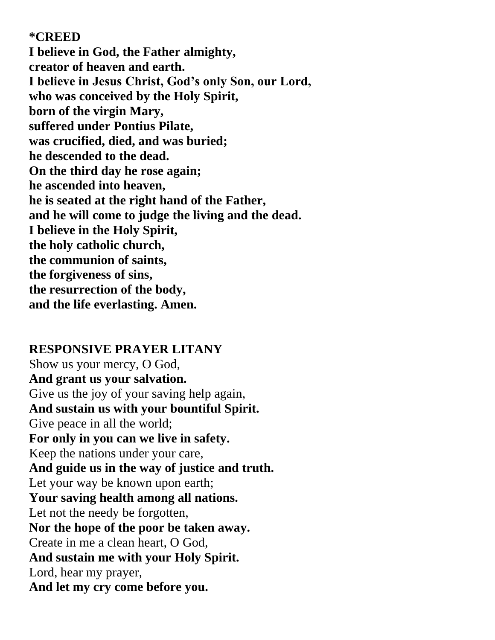**\*CREED**

**I believe in God, the Father almighty, creator of heaven and earth. I believe in Jesus Christ, God's only Son, our Lord, who was conceived by the Holy Spirit, born of the virgin Mary, suffered under Pontius Pilate, was crucified, died, and was buried; he descended to the dead. On the third day he rose again; he ascended into heaven, he is seated at the right hand of the Father, and he will come to judge the living and the dead. I believe in the Holy Spirit, the holy catholic church, the communion of saints, the forgiveness of sins, the resurrection of the body, and the life everlasting. Amen.**

#### **RESPONSIVE PRAYER LITANY**

Show us your mercy, O God, **And grant us your salvation.** Give us the joy of your saving help again, **And sustain us with your bountiful Spirit.** Give peace in all the world; **For only in you can we live in safety.** Keep the nations under your care, **And guide us in the way of justice and truth.** Let your way be known upon earth; **Your saving health among all nations.** Let not the needy be forgotten, **Nor the hope of the poor be taken away.** Create in me a clean heart, O God, **And sustain me with your Holy Spirit.** Lord, hear my prayer, **And let my cry come before you.**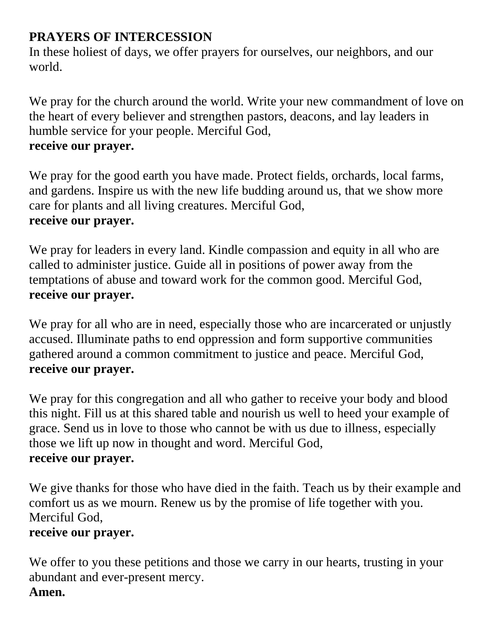## **PRAYERS OF INTERCESSION**

In these holiest of days, we offer prayers for ourselves, our neighbors, and our world.

We pray for the church around the world. Write your new commandment of love on the heart of every believer and strengthen pastors, deacons, and lay leaders in humble service for your people. Merciful God, **receive our prayer.**

We pray for the good earth you have made. Protect fields, orchards, local farms, and gardens. Inspire us with the new life budding around us, that we show more care for plants and all living creatures. Merciful God, **receive our prayer.**

We pray for leaders in every land. Kindle compassion and equity in all who are called to administer justice. Guide all in positions of power away from the temptations of abuse and toward work for the common good. Merciful God, **receive our prayer.**

We pray for all who are in need, especially those who are incarcerated or unjustly accused. Illuminate paths to end oppression and form supportive communities gathered around a common commitment to justice and peace. Merciful God, **receive our prayer.**

We pray for this congregation and all who gather to receive your body and blood this night. Fill us at this shared table and nourish us well to heed your example of grace. Send us in love to those who cannot be with us due to illness, especially those we lift up now in thought and word. Merciful God, **receive our prayer.**

We give thanks for those who have died in the faith. Teach us by their example and comfort us as we mourn. Renew us by the promise of life together with you. Merciful God,

### **receive our prayer.**

We offer to you these petitions and those we carry in our hearts, trusting in your abundant and ever-present mercy. **Amen.**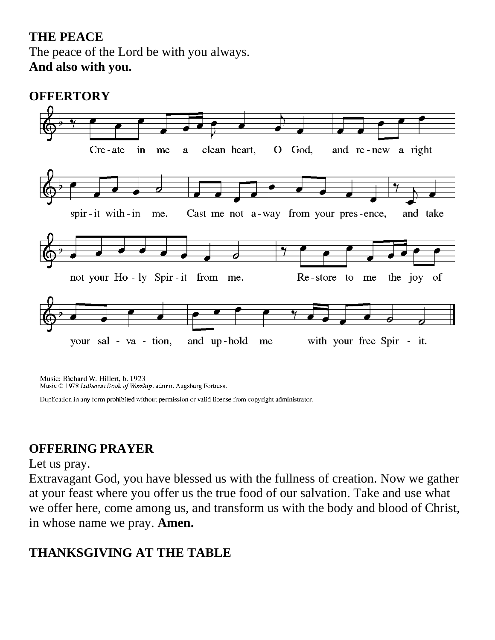## **THE PEACE** The peace of the Lord be with you always. **And also with you.**

### **OFFERTORY**



Music: Richard W. Hillert, b. 1923 Music © 1978 Lutheran Book of Worship, admin. Augsburg Fortress.

Duplication in any form prohibited without permission or valid license from copyright administrator.

### **OFFERING PRAYER**

#### Let us pray.

Extravagant God, you have blessed us with the fullness of creation. Now we gather at your feast where you offer us the true food of our salvation. Take and use what we offer here, come among us, and transform us with the body and blood of Christ, in whose name we pray. **Amen.**

## **THANKSGIVING AT THE TABLE**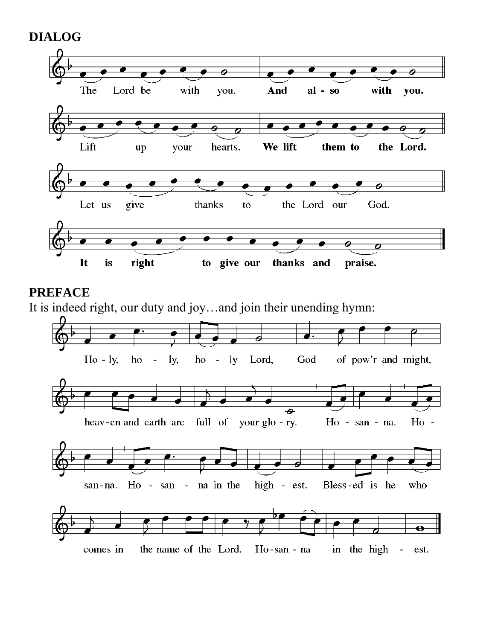



### **PREFACE**

It is indeed right, our duty and joy…and join their unending hymn:

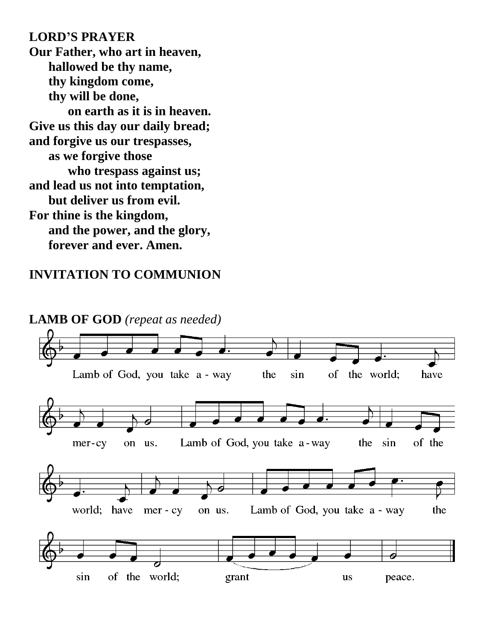**LORD'S PRAYER Our Father, who art in heaven, hallowed be thy name, thy kingdom come, thy will be done, on earth as it is in heaven. Give us this day our daily bread; and forgive us our trespasses, as we forgive those who trespass against us; and lead us not into temptation, but deliver us from evil. For thine is the kingdom, and the power, and the glory, forever and ever. Amen.**

### **INVITATION TO COMMUNION**

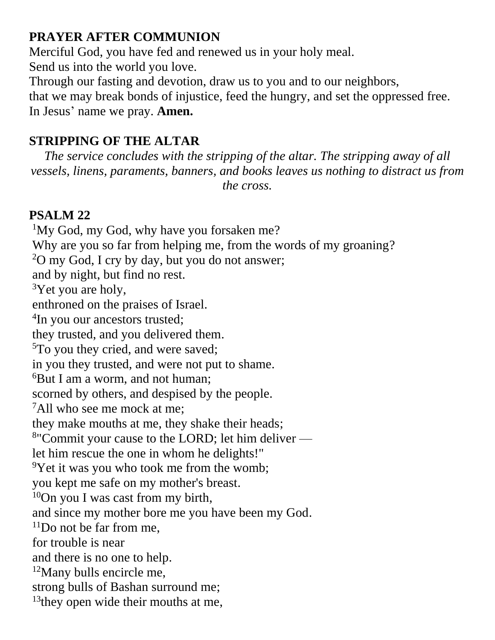### **PRAYER AFTER COMMUNION**

Merciful God, you have fed and renewed us in your holy meal.

Send us into the world you love.

Through our fasting and devotion, draw us to you and to our neighbors,

that we may break bonds of injustice, feed the hungry, and set the oppressed free. In Jesus' name we pray. **Amen.**

# **STRIPPING OF THE ALTAR**

*The service concludes with the stripping of the altar. The stripping away of all vessels, linens, paraments, banners, and books leaves us nothing to distract us from the cross.*

## **PSALM 22**

<sup>1</sup>My God, my God, why have you forsaken me? Why are you so far from helping me, from the words of my groaning?  $20 \text{ my God}$ , I cry by day, but you do not answer; and by night, but find no rest.  $3$ Yet you are holy, enthroned on the praises of Israel. <sup>4</sup>In you our ancestors trusted; they trusted, and you delivered them. <sup>5</sup>To you they cried, and were saved; in you they trusted, and were not put to shame. <sup>6</sup>But I am a worm, and not human; scorned by others, and despised by the people. <sup>7</sup>All who see me mock at me; they make mouths at me, they shake their heads; <sup>8</sup>"Commit your cause to the LORD; let him deliver let him rescue the one in whom he delights!"  $\rm{PY}$ et it was you who took me from the womb; you kept me safe on my mother's breast.  $10$ On you I was cast from my birth, and since my mother bore me you have been my God.  $11$ Do not be far from me, for trouble is near and there is no one to help. <sup>12</sup>Many bulls encircle me, strong bulls of Bashan surround me; <sup>13</sup> they open wide their mouths at me,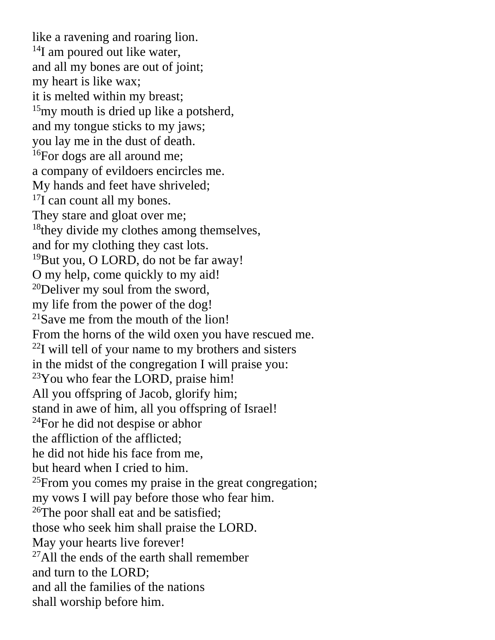like a ravening and roaring lion. <sup>14</sup>I am poured out like water, and all my bones are out of joint; my heart is like wax; it is melted within my breast; <sup>15</sup>my mouth is dried up like a potsherd, and my tongue sticks to my jaws; you lay me in the dust of death. <sup>16</sup>For dogs are all around me; a company of evildoers encircles me. My hands and feet have shriveled; <sup>17</sup>I can count all my bones. They stare and gloat over me; <sup>18</sup> they divide my clothes among themselves, and for my clothing they cast lots. <sup>19</sup>But you, O LORD, do not be far away! O my help, come quickly to my aid!  $20$ Deliver my soul from the sword, my life from the power of the dog!  $21$ Save me from the mouth of the lion! From the horns of the wild oxen you have rescued me.  $^{22}$ I will tell of your name to my brothers and sisters in the midst of the congregation I will praise you:  $23$ You who fear the LORD, praise him! All you offspring of Jacob, glorify him; stand in awe of him, all you offspring of Israel! <sup>24</sup>For he did not despise or abhor the affliction of the afflicted; he did not hide his face from me, but heard when I cried to him.  $^{25}$ From you comes my praise in the great congregation; my vows I will pay before those who fear him.  $26$ The poor shall eat and be satisfied; those who seek him shall praise the LORD. May your hearts live forever!  $^{27}$ All the ends of the earth shall remember and turn to the LORD; and all the families of the nations shall worship before him.